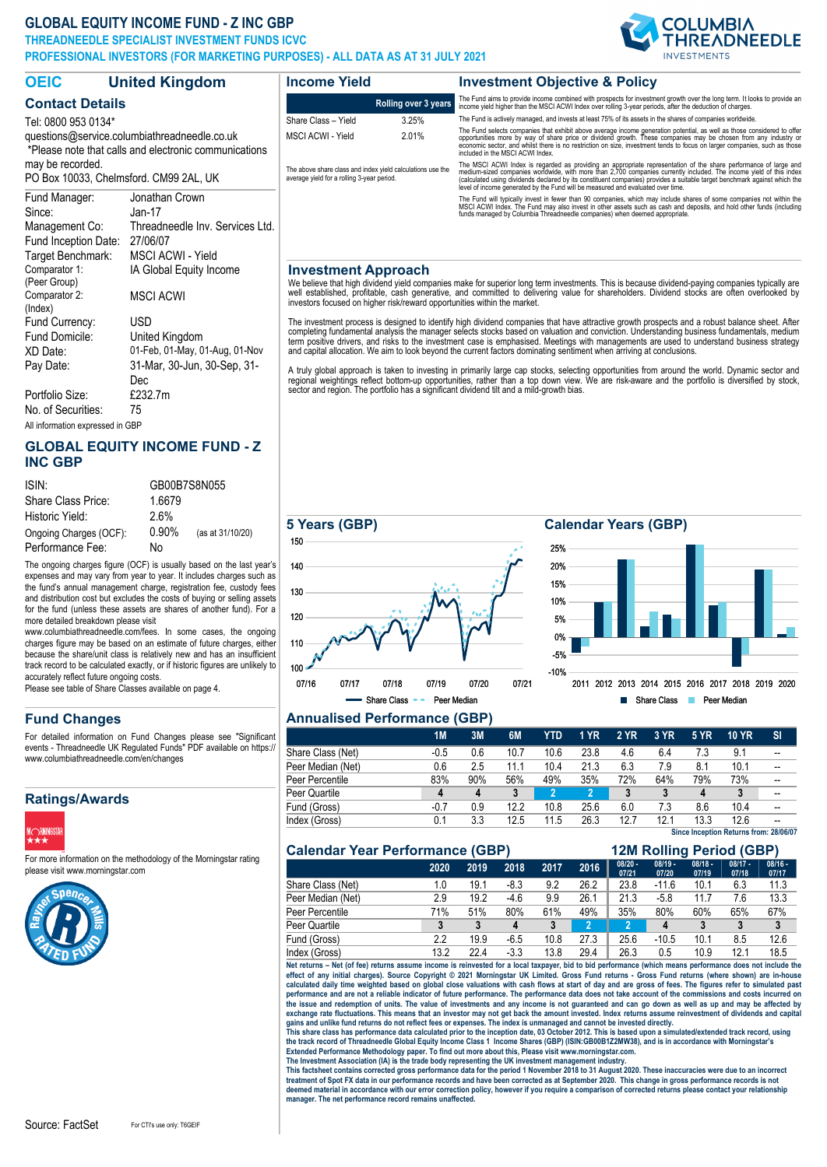### **GLOBAL EQUITY INCOME FUND - Z INC GBP**

Comparator 1: (Peer Group)

Comparator 2: (Index)

Portfolio Size:

Fund Currency: USD

No. of Securities: 75

**THREADNEEDLE SPECIALIST INVESTMENT FUNDS ICVC**

**PROFESSIONAL INVESTORS (FOR MARKETING PURPOSES) - ALL DATA AS AT 31 JULY 2021**



2011 2012 2013 2014 2015 2016 2017 2018 2019 2020

Share Class **Peer Median** 

| <b>OEIC</b>                                                                                                                  | <b>United Kingdom</b>                       | <b>Income Yield</b>                                                                                      |                             | <b>Investment Objective &amp; Policy</b>                                                                                                                                                                                                                                                                                                                                                                                                                |  |  |  |  |  |
|------------------------------------------------------------------------------------------------------------------------------|---------------------------------------------|----------------------------------------------------------------------------------------------------------|-----------------------------|---------------------------------------------------------------------------------------------------------------------------------------------------------------------------------------------------------------------------------------------------------------------------------------------------------------------------------------------------------------------------------------------------------------------------------------------------------|--|--|--|--|--|
| <b>Contact Details</b>                                                                                                       |                                             |                                                                                                          | <b>Rolling over 3 years</b> | The Fund aims to provide income combined with prospects for investment growth over the long term. It looks to provide an<br>income yield higher than the MSCI ACWI Index over rolling 3-year periods, after the deduction of charges.                                                                                                                                                                                                                   |  |  |  |  |  |
| Tel: 0800 953 0134*<br>guestions@service.columbiathreadneedle.co.uk<br>*Please note that calls and electronic communications |                                             | Share Class - Yield                                                                                      | 3.25%                       | The Fund is actively managed, and invests at least 75% of its assets in the shares of companies worldwide.                                                                                                                                                                                                                                                                                                                                              |  |  |  |  |  |
|                                                                                                                              |                                             | <b>MSCI ACWI - Yield</b>                                                                                 | 2.01%                       | The Fund selects companies that exhibit above average income generation potential, as well as those considered to offer<br>opportunities more by way of share price or dividend growth. These companies may be chosen from any industry or<br>economic sector, and whilst there is no restriction on size, investment tends to focus on larger companies, such as those<br>included in the MSCI ACWI Index.                                             |  |  |  |  |  |
| may be recorded.<br>PO Box 10033, Chelmsford, CM99 2AL, UK                                                                   |                                             | The above share class and index yield calculations use the<br>average yield for a rolling 3-year period. |                             | The MSCI ACWI Index is regarded as providing an appropriate representation of the share performance of large and<br>medium-sized companies worldwide, with more than 2,700 companies currently included. The income yield of this index<br>(calculated using dividends declared by its constituent companies) provides a suitable target benchmark against which the<br>level of income generated by the Fund will be measured and evaluated over time. |  |  |  |  |  |
| Fund Manager:<br>Since:                                                                                                      | Jonathan Crown<br>$Jan-17$                  |                                                                                                          |                             | The Fund will typically invest in fewer than 90 companies, which may include shares of some companies not within the<br>MSCI ACWI Index. The Fund may also invest in other assets such as cash and deposits, and hold other funds (including<br>funds managed by Columbia Threadneedle companies) when deemed appropriate.                                                                                                                              |  |  |  |  |  |
| Management Co:<br>Fund Inception Date:                                                                                       | Threadneedle Inv. Services Ltd.<br>27/06/07 |                                                                                                          |                             |                                                                                                                                                                                                                                                                                                                                                                                                                                                         |  |  |  |  |  |

#### **Investment Approach**

We believe that high dividend yield companies make for superior long term investments. This is because dividend-paying companies typically are<br>well established, profitable, cash generative, and committed to delivering valu

The investment process is designed to identify high dividend companies that have attractive growth prospects and a robust balance sheet. After<br>completing fundamental analysis the manager selects stocks based on valuation a term positive drivers, and risks to the investment case is emphasised. Meetings with managements are used to understand business strategy<br>and capital allocation. We aim to look beyond the current factors dominating sentime

A truly global approach is taken to investing in primarily large cap stocks, selecting opportunities from around the world. Dynamic sector and<br>regional weightings reflect bottom-up opportunities, rather than a top down vie

**5 Years (GBP) Calendar Years (GBP)**

# All information expressed in GBP

Fund Domicile: United Kingdom

Target Benchmark: MSCI ACWI - Yield

IA Global Equity Income

MSCI ACWI

#### **GLOBAL EQUITY INCOME FUND - Z INC GBP**

XD Date: 01-Feb, 01-May, 01-Aug, 01-Nov Pay Date: 31-Mar, 30-Jun, 30-Sep, 31- Dec<br>£232.7m

| ISIN:                  |          | GB00B7S8N055     |
|------------------------|----------|------------------|
| Share Class Price:     | 1.6679   |                  |
| Historic Yield:        | 2.6%     |                  |
| Ongoing Charges (OCF): | $0.90\%$ | (as at 31/10/20) |
| Performance Fee:       | No       |                  |

The ongoing charges figure (OCF) is usually based on the last year's expenses and may vary from year to year. It includes charges such as the fund's annual management charge, registration fee, custody fees and distribution cost but excludes the costs of buying or selling assets for the fund (unless these assets are shares of another fund). For a more detailed breakdown please visit

www.columbiathreadneedle.com/fees. In some cases, the ongoing charges figure may be based on an estimate of future charges, either because the share/unit class is relatively new and has an insufficient track record to be calculated exactly, or if historic figures are unlikely to accurately reflect future ongoing costs.

Please see table of Share Classes available on page 4.

### **Fund Changes**

For detailed information on Fund Changes please see "Significant events - Threadneedle UK Regulated Funds" PDF available on https:// www.columbiathreadneedle.com/en/changes

#### **Ratings/Awards**



For more information on the methodology of the Morningstar rating please visit www.morningstar.com





#### **Annualised Performance (GBP)**

|                   | <b>1M</b> | 3M  | 6M   | YTD  | 1 YR | <b>2 YR</b> | 3 YR | <b>5 YR</b> | <b>10 YR</b>                           | <b>SI</b>                |
|-------------------|-----------|-----|------|------|------|-------------|------|-------------|----------------------------------------|--------------------------|
| Share Class (Net) | $-0.5$    | 0.6 | 10.7 | 10.6 | 23.8 | 4.6         | 6.4  | 7.3         | 9.1                                    |                          |
| Peer Median (Net) | 0.6       | 2.5 | 11.1 | 10.4 | 21.3 | 6.3         | 7.9  | 8.1         | 10.1                                   | --                       |
| Peer Percentile   | 83%       | 90% | 56%  | 49%  | 35%  | 72%         | 64%  | 79%         | 73%                                    |                          |
| Peer Quartile     | 4         | 4   | 3    |      | 2    |             |      | 4           | 3                                      | $\overline{\phantom{a}}$ |
| Fund (Gross)      | $-0.7$    | 0.9 | 12.2 | 10.8 | 25.6 | 6.0         | 7.3  | 8.6         | 10.4                                   |                          |
| Index (Gross)     | 0.1       | 3.3 | 12.5 | 11.5 | 26.3 | 12.7        | 12.1 | 13.3        | 12.6                                   |                          |
|                   |           |     |      |      |      |             |      |             | Since Inception Returns from: 28/06/07 |                          |

-10% -5% 0% 5% 10% 15% 20% 25%

|  | <b>Calendar Year Performance (GBP)</b> |  |
|--|----------------------------------------|--|
|  |                                        |  |

#### **12M Rolling Period (GBP) 2020 2019 2018 2017 2016 08/20 - 07/21 08/19 - 07/20 08/18 - 07/19 08/17 - 07/18 08/16 - 07/17** Share Class (Net) 1.0 19.1 -8.3 9.2 26.2 23.8 -11.6 10.1 6.3 11.3<br>Peer Median (Net) 2.9 19.2 -4.6 9.9 26.1 21.3 -5.8 11.7 7.6 13.3 Peer Median (Net) 2.9 19.2 4.6 9.9 26.1 21.3 -5.8 11.7 7.6 13.3<br>Peer Percentile 71% 51% 80% 61% 49% 35% 80% 60% 65% 67% Peer Percentile 71% 51% 80% 61% 49% 35% 80% 60% 65% 67% Peer Quartile **3 3 4 3 2 2 4 3 3 3** Fund (Gross) 2.2 19.9 -6.5 10.8 27.3 25.6 -10.5 10.1 8.5 12.6 Index (Gross) 13.2 22.4 -3.3 13.8 29.4 26.3 0.5 10.9 12.1 18.5

**Net returns – Net (of fee) returns assume income is reinvested for a local taxpayer, bid to bid performance (which means performance does not include the**  effect of any initial charges). Source Copyright © 2021 Morningstar UK Limited. Gross Fund returns - Gross Fund returns (where shown) are in-house<br>calculated daily time weighted based on global close valuations with cash performance and are not a reliable indicator of future performance. The performance data does not take account of the commissions and costs incurred on<br>the issue and redemption of units. The value of investments and any in

exchange rate fluctuations. This means that an investor may not get back the amount invested. Index returns assume reinvestment of dividends and capital<br>This share class has performance data calculated prior to the incepti

The Investment Association (IA) is the trade body representing the UK investment management industry.<br>This factsheet contains corrected gross performance data for the period 1 November 2018 to 31 August 2020. These inaccur treatment of Spot FX data in our performance records and have been corrected as at September 2020. This change in gross performance records is not<br>deemed material in accordance with our error correction policy, however if **manager. The net performance record remains unaffected.**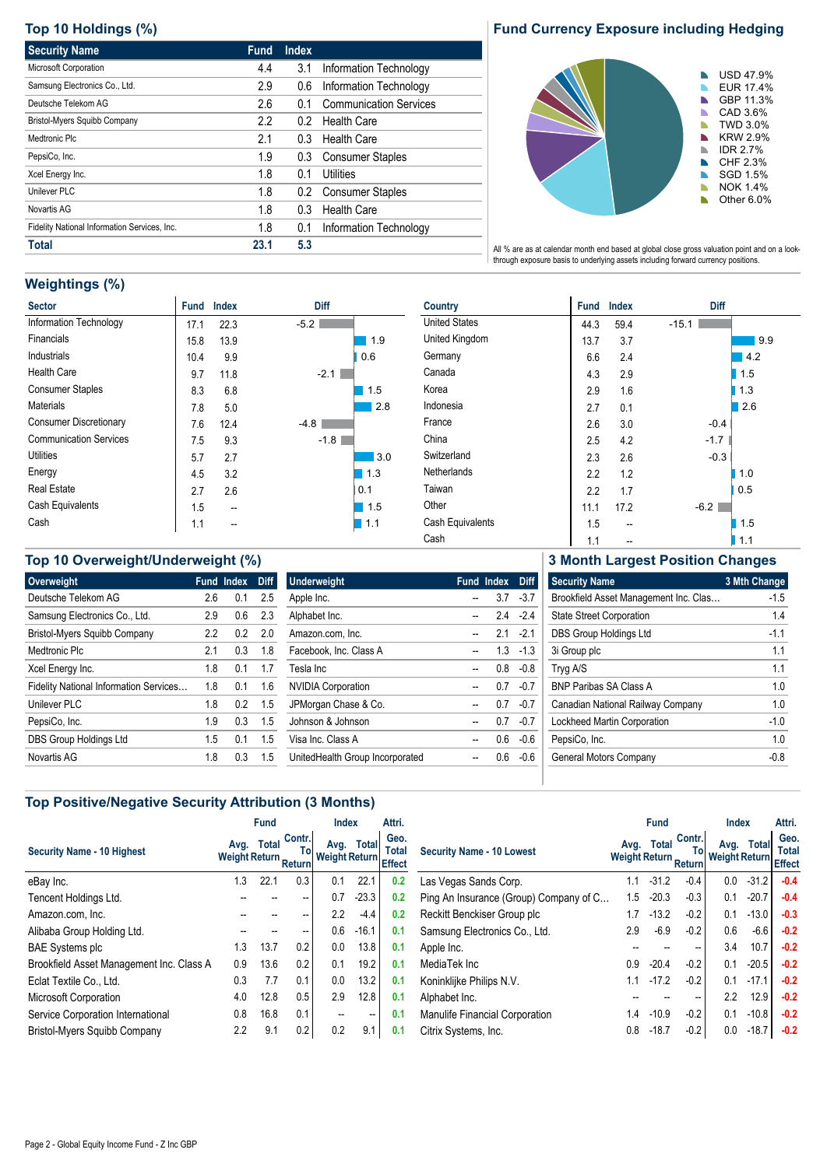## **Top 10 Holdings (%)**

| <b>Security Name</b>                         | <b>Fund</b> | <b>Index</b> |                               |
|----------------------------------------------|-------------|--------------|-------------------------------|
| Microsoft Corporation                        | 4.4         | 3.1          | Information Technology        |
| Samsung Electronics Co., Ltd.                | 2.9         | 0.6          | Information Technology        |
| Deutsche Telekom AG                          | 2.6         | 0.1          | <b>Communication Services</b> |
| Bristol-Myers Squibb Company                 | 2.2         | 0.2          | <b>Health Care</b>            |
| Medtronic Plc                                | 2.1         | 0.3          | <b>Health Care</b>            |
| PepsiCo, Inc.                                | 1.9         | 0.3          | <b>Consumer Staples</b>       |
| Xcel Energy Inc.                             | 1.8         | 0.1          | Utilities                     |
| Unilever PLC                                 | 1.8         | 0.2          | <b>Consumer Staples</b>       |
| Novartis AG                                  | 1.8         | 0.3          | <b>Health Care</b>            |
| Fidelity National Information Services, Inc. | 1.8         | 0.1          | Information Technology        |
| <b>Total</b>                                 | 23.1        | 5.3          |                               |

### **Fund Currency Exposure including Hedging**



All % are as at calendar month end based at global close gross valuation point and on a lookthrough exposure basis to underlying assets including forward currency positions.

## **Weightings (%)**

| <b>Sector</b>                 | <b>Fund</b> | <b>Index</b> | Diff   |
|-------------------------------|-------------|--------------|--------|
| Information Technology        | 17.1        | 22.3         | $-5.2$ |
| Financials                    | 15.8        | 13.9         | 1.9    |
| Industrials                   | 10.4        | 9.9          | 0.6    |
| <b>Health Care</b>            | 9.7         | 11.8         | $-2.1$ |
| <b>Consumer Staples</b>       | 8.3         | 6.8          | 1.5    |
| Materials                     | 7.8         | 5.0          | 2.8    |
| <b>Consumer Discretionary</b> | 7.6         | 12.4         | -4.8   |
| <b>Communication Services</b> | 7.5         | 9.3          | $-1.8$ |
| <b>Utilities</b>              | 5.7         | 2.7          | 3.0    |
| Energy                        | 4.5         | 3.2          | 1.3    |
| <b>Real Estate</b>            | 2.7         | 2.6          | 0.1    |
| Cash Equivalents              | 1.5         |              | 1.5    |
| Cash                          | 1.1         |              | 1.1    |

| Country              | <b>Fund</b> | <b>Index</b> | <b>Diff</b> |
|----------------------|-------------|--------------|-------------|
| <b>United States</b> | 44.3        | 59.4         | $-15.1$     |
| United Kingdom       | 13.7        | 3.7          | 9.9         |
| Germany              | 6.6         | 2.4          | 4.2         |
| Canada               | 4.3         | 2.9          | 1.5         |
| Korea                | 2.9         | 1.6          | 1.3         |
| Indonesia            | 2.7         | 0.1          | 2.6         |
| France               | 2.6         | 3.0          | $-0.4$      |
| China                | 2.5         | 4.2          | $-1.7$      |
| Switzerland          | 2.3         | 2.6          | $-0.3$      |
| Netherlands          | 2.2         | 1.2          | 1.0         |
| Taiwan               | 2.2         | 1.7          | 0.5         |
| Other                | 11.1        | 17.2         | $-6.2$      |
| Cash Equivalents     | 1.5         | --           | 1.5         |
| Cash                 | 1.1         |              | 1.1         |

| Top 10 Overweight/Underweight (%) |                     |
|-----------------------------------|---------------------|
| N                                 | <b>Eund Index</b> F |

| Overweight                             | Fund | Index | <b>Diff</b> |
|----------------------------------------|------|-------|-------------|
| Deutsche Telekom AG                    | 2.6  | 0.1   | 2.5         |
| Samsung Electronics Co., Ltd.          | 2.9  | 0.6   | 2.3         |
| <b>Bristol-Myers Squibb Company</b>    | 2.2  | 0.2   | 2.0         |
| Medtronic Plc                          | 21   | 0.3   | 1.8         |
| Xcel Energy Inc.                       | 1.8  | 0.1   | 1.7         |
| Fidelity National Information Services | 1.8  | 0.1   | 1.6         |
| Unilever PLC                           | 1.8  | 0.2   | 1.5         |
| PepsiCo, Inc.                          | 1.9  | 0.3   | 1.5         |
| DBS Group Holdings Ltd                 | 1.5  | 0.1   | 1.5         |
| Novartis AG                            | 1.8  | 0.3   | 15          |

| <b>Underweight</b>              | <b>Fund Index</b> | Diff   |
|---------------------------------|-------------------|--------|
| Apple Inc.                      | 37                | $-37$  |
| Alphabet Inc.                   | 24                | $-24$  |
| Amazon.com, Inc.                | 21                | $-21$  |
| Facebook, Inc. Class A          | 13                | $-1.3$ |
| Tesla Inc                       | 08                | -0.8   |
| <b>NVIDIA Corporation</b>       | 07                | -0.7   |
| JPMorgan Chase & Co.            | 07                | -0.7   |
| Johnson & Johnson               | 07                | -0.7   |
| Visa Inc. Class A               | 06                | $-0.6$ |
| UnitedHealth Group Incorporated | ი 6               | -0.6   |
|                                 |                   |        |

**3 Month Largest Position Changes**

| <b>Security Name</b>                  | 3 Mth Change   |
|---------------------------------------|----------------|
| Brookfield Asset Management Inc. Clas | $-1.5$         |
| <b>State Street Corporation</b>       | 14             |
| DBS Group Holdings Ltd                | $-11$          |
| 3i Group plc                          | 11             |
| Tryg A/S                              | 11             |
| <b>BNP Paribas SA Class A</b>         | 1 <sub>0</sub> |
| Canadian National Railway Company     | 1 <sub>0</sub> |
| Lockheed Martin Corporation           | $-1.0$         |
| PepsiCo, Inc.                         | 1 <sub>0</sub> |
| General Motors Company                | -0.8           |
|                                       |                |

### **Top Positive/Negative Security Attribution (3 Months)**

|                                          | <b>Fund</b>                    |              |                          | Attri.<br><b>Index</b>       |         |                      |                                        | <b>Fund</b>                    |              |                   | <b>Index</b>                 |              |                                       |
|------------------------------------------|--------------------------------|--------------|--------------------------|------------------------------|---------|----------------------|----------------------------------------|--------------------------------|--------------|-------------------|------------------------------|--------------|---------------------------------------|
| <b>Security Name - 10 Highest</b>        | Avg.<br>Weight Return Return v | <b>Total</b> | Contr.<br>To             | Avg.<br>Weight Return Effect | Total   | Geo.<br><b>Total</b> | <b>Security Name - 10 Lowest</b>       | Avg.<br>Weight Return Return v | <b>Total</b> | Contr.<br>To      | Avg.<br><b>Weight Return</b> | <b>Total</b> | Geo.<br><b>Total</b><br><b>Effect</b> |
| eBay Inc.                                | 1.3                            | 22.1         | 0.3                      | 0.1                          | 22.1    | 0.2                  | Las Vegas Sands Corp.                  | 1.1                            | $-31.2$      | $-0.4$            | 0.0                          | $-31.2$      | $-0.4$                                |
| Tencent Holdings Ltd.                    |                                |              | --                       | 0.7                          | $-23.3$ | 0.2                  | Ping An Insurance (Group) Company of C | 1.5                            | $-20.3$      | $-0.3$            | 0.1                          | $-20.7$      | $-0.4$                                |
| Amazon.com. Inc.                         |                                |              | $\overline{\phantom{a}}$ | 2.2                          | $-4.4$  | 0.2                  | Reckitt Benckiser Group plc            | 1.7                            | $-13.2$      | $-0.2$            | 0.1                          | $-13.0$      | $-0.3$                                |
| Alibaba Group Holding Ltd.               |                                |              | $\hspace{0.05cm}$        | 0.6                          | $-16.1$ | 0.1                  | Samsung Electronics Co., Ltd.          | 2.9                            | -6.9         | $-0.2$            | 0.6                          | $-6.6$       | $-0.2$                                |
| <b>BAE Systems plc</b>                   | 1.3                            | 13.7         | 0.2                      | 0.0                          | 13.8    | 0.1                  | Apple Inc.                             |                                |              | $\hspace{0.05cm}$ | 3.4                          | 10.7         | $-0.2$                                |
| Brookfield Asset Management Inc. Class A | 0.9                            | 13.6         | 0.2                      | 0.1                          | 19.2    | 0.1                  | MediaTek Inc                           | 0.9                            | $-20.4$      | $-0.2$            | 0.1                          | $-20.5$      | $-0.2$                                |
| Eclat Textile Co., Ltd.                  | 0.3                            | 7.7          | 0.1                      | 0.0                          | 13.2    | 0.1                  | Koninklijke Philips N.V.               | 1.1                            | $-17.2$      | $-0.2$            | 0.1                          | $-17.1$      | $-0.2$                                |
| Microsoft Corporation                    | 4.0                            | 12.8         | 0.5                      | 2.9                          | 12.8    | 0.1                  | Alphabet Inc.                          |                                |              | $\hspace{0.05cm}$ | 2.2                          | 12.9         | $-0.2$                                |
| Service Corporation International        | 0.8                            | 16.8         | 0.1                      | $\overline{\phantom{a}}$     | --      | 0.1                  | Manulife Financial Corporation         | 1.4                            | $-10.9$      | $-0.2$            | 0.1                          | $-10.8$      | $-0.2$                                |
| Bristol-Myers Squibb Company             | 2.2                            | 9.1          | 0.2                      | 0.2                          | 9.1     | 0.1                  | Citrix Systems, Inc.                   | 0.8                            | $-18.7$      | $-0.2$            | 0.0                          | $-18.7$      | $-0.2$                                |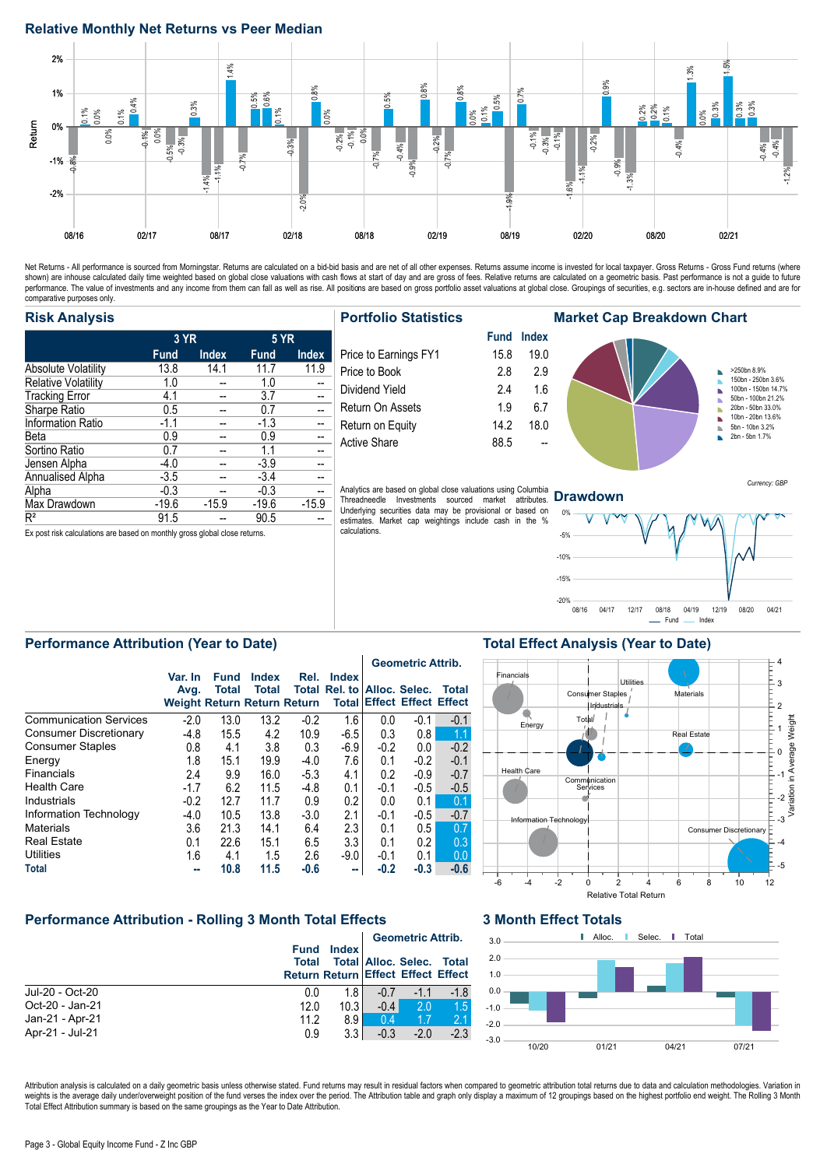#### **Relative Monthly Net Returns vs Peer Median**



Net Returns - All performance is sourced from Morningstar. Returns are calculated on a bid-bid basis and are net of all other expenses. Returns assume income is invested for local taxpayer. Gross Returns - Gross Fund retur performance. The value of investments and any income from them can fall as well as rise. All positions are based on gross portfolio asset valuations at global close. Groupings of securities, e.g. sectors are in-house defin comparative purposes only.

#### **Risk Analysis**

|                            | 3 YR        |              | <b>5 YR</b> |              |  |
|----------------------------|-------------|--------------|-------------|--------------|--|
|                            | <b>Fund</b> | <b>Index</b> | <b>Fund</b> | <b>Index</b> |  |
| <b>Absolute Volatility</b> | 13.8        | 14.1         | 11.7        | 11.9         |  |
| <b>Relative Volatility</b> | 1.0         |              | 1.0         |              |  |
| <b>Tracking Error</b>      | 4.1         |              | 3.7         |              |  |
| Sharpe Ratio               | 0.5         |              | 0.7         |              |  |
| <b>Information Ratio</b>   | $-1.1$      |              | $-1.3$      |              |  |
| Beta                       | 0.9         |              | 0.9         |              |  |
| Sortino Ratio              | 0.7         |              | 1.1         |              |  |
| Jensen Alpha               | $-4.0$      |              | $-3.9$      |              |  |
| Annualised Alpha           | $-3.5$      |              | $-3.4$      |              |  |
| Alpha                      | $-0.3$      |              | $-0.3$      |              |  |
| Max Drawdown               | $-19.6$     | $-15.9$      | $-19.6$     | $-15.9$      |  |
| $R^2$                      | 91.5        |              | 90.5        |              |  |

Ex post risk calculations are based on monthly gross global close returns.

#### **Portfolio Statistics**

|                       |      | Fund Index |
|-----------------------|------|------------|
| Price to Earnings FY1 | 15.8 | 19.0       |
| Price to Book         | 28   | 2.9        |
| Dividend Yield        | 24   | 1.6        |
| Return On Assets      | 19   | 6.7        |
| Return on Equity      | 14.2 | 18.0       |
| Active Share          | 88.5 |            |
|                       |      |            |

Analytics are based on global close valuations using Columbia Threadneedle Investments sourced market attributes. Underlying securities data may be provisional or based on estimates. Market cap weightings include cash in the % calculations.

#### **Market Cap Breakdown Chart Fund Index** >250bn 8.9% Ė 150bn - 250bn 3.6% 100bn - 150bn 14.7% ń 50bn - 100bn 21.2% 20bn - 50bn 33.0% ń 10bn - 20bn 13.6% ĥ 5bn - 10bn 3.2% b 2bn - 5bn 1.7%  $\mathbf{r}$

#### **Drawdown**

**Total Effect Analysis (Year to Date)**



Currency: GBP

### **Performance Attribution (Year to Date)**

|                               |                                                       |                      |                       |        |                                                   |        | <b>Geometric Attrib.</b>          |        |
|-------------------------------|-------------------------------------------------------|----------------------|-----------------------|--------|---------------------------------------------------|--------|-----------------------------------|--------|
|                               | Var. In<br>Avg.<br><b>Weight Return Return Return</b> | <b>Fund</b><br>Total | <b>Index</b><br>Total | Rel.   | <b>Index</b><br>Total Rel. to Alloc. Selec. Total |        | <b>Total Effect Effect Effect</b> |        |
| <b>Communication Services</b> | $-2.0$                                                | 13.0                 | 13.2                  | $-0.2$ | 1.6                                               | 0.0    | $-0.1$                            | $-0.1$ |
| <b>Consumer Discretionary</b> | $-4.8$                                                | 15.5                 | 4.2                   | 10.9   | $-6.5$                                            | 0.3    | 0.8                               | 1.1    |
| <b>Consumer Staples</b>       | 0.8                                                   | 4.1                  | 3.8                   | 0.3    | $-6.9$                                            | $-0.2$ | 0.0                               | $-0.2$ |
| Energy                        | 1.8                                                   | 15.1                 | 19.9                  | $-4.0$ | 7.6                                               | 0.1    | $-0.2$                            | $-0.1$ |
| Financials                    | 2.4                                                   | 9.9                  | 16.0                  | $-5.3$ | 4.1                                               | 0.2    | $-0.9$                            | $-0.7$ |
| <b>Health Care</b>            | $-1.7$                                                | 6.2                  | 11.5                  | $-4.8$ | 0.1                                               | $-0.1$ | $-0.5$                            | $-0.5$ |
| Industrials                   | $-0.2$                                                | 12.7                 | 11.7                  | 0.9    | 0.2                                               | 0.0    | 0.1                               | 0.1    |
| Information Technology        | $-4.0$                                                | 10.5                 | 13.8                  | $-3.0$ | 2.1                                               | $-0.1$ | $-0.5$                            | $-0.7$ |
| <b>Materials</b>              | 3.6                                                   | 21.3                 | 14.1                  | 6.4    | 2.3                                               | 0.1    | 0.5                               | 0.7    |
| <b>Real Estate</b>            | 0.1                                                   | 22.6                 | 15.1                  | 6.5    | 3.3                                               | 0.1    | 0.2                               | 0.3    |
| <b>Utilities</b>              | 1.6                                                   | 4.1                  | 1.5                   | 2.6    | $-9.0$                                            | $-0.1$ | 0.1                               | 0.0    |
| <b>Total</b>                  | --                                                    | 10.8                 | 11.5                  | $-0.6$ | m.                                                | $-0.2$ | $-0.3$                            | $-0.6$ |

### **Performance Attribution - Rolling 3 Month Total Effects**

|                 |                                                                   |              |                | <b>Geometric Attrib.</b>   |        |
|-----------------|-------------------------------------------------------------------|--------------|----------------|----------------------------|--------|
|                 | <b>Fund</b><br>Total<br><b>Return Return Effect Effect Effect</b> | <b>Index</b> |                | <b>Total Alloc. Selec.</b> | Total  |
| Jul-20 - Oct-20 | 0.0                                                               | 1.8          | $-0.7$         | $-1.1$                     | $-1.8$ |
| Oct-20 - Jan-21 | 12.0                                                              | 10.31        | $-0.4$         | 2.0                        | 1.5    |
| Jan-21 - Apr-21 | 11.2                                                              | 8.9          | 0 <sub>4</sub> | 1.7                        | 21     |
| Apr-21 - Jul-21 | 0.9                                                               | 3.3          | $-0.3$         | $-2.0$                     | $-2.3$ |

#### **3 Month Effect Totals**



Attribution analysis is calculated on a daily geometric basis unless otherwise stated. Fund returns may result in residual factors when compared to geometric attribution total returns due to data and calculation methodolog weights is the average daily under/overweight position of the fund verses the index over the period. The Attribution table and graph only display a maximum of 12 groupings based on the highest portfolio end weight. The Rol Total Effect Attribution summary is based on the same groupings as the Year to Date Attribution.